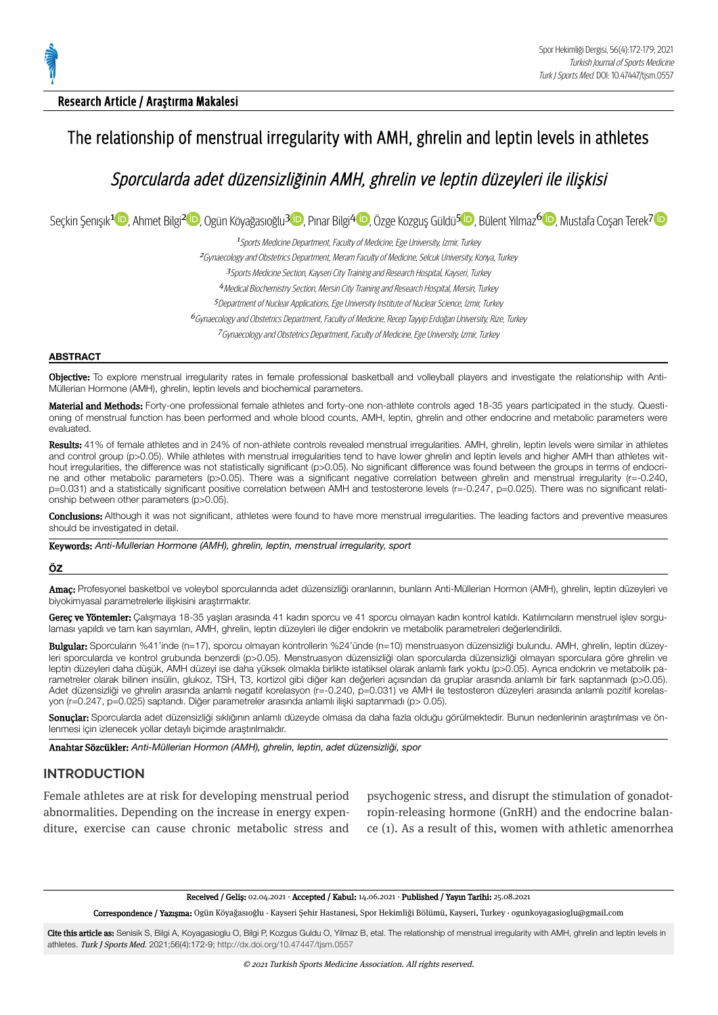## Research Article / Araştırma Makalesi

# The relationship of menstrual irregularity with AMH, ghrelin and leptin levels in athletes

# Sporcularda adet düzensizliğinin AMH, ghrelin ve leptin düzeyleri ile ilişkisi

Seçkin Şenışık<sup>[1](https://orcid.org/0000-0002-7806-9695)</sup> D, Ahmet Bilgi<sup>[2](https://orcid.org/0000-0001-8682-1739) D</sup>[,](https://orcid.org/0000-0002-9458-2253) Ogün Köyağasıoğlu<sup>3 D</sup>, Pınar Bilgi<sup>[4](https://orcid.org/0000-0001-6598-0458) D</sup>, Özge Kozguş Güldü<sup>[5](https://orcid.org/0000-0001-7028-0720) D</sup>, Bülent Yılmaz<sup>6 (D</sup>, Mustafa Coşan Terek<sup>71</sup>

<sup>1</sup> Sports Medicine Department, Faculty of Medicine, Ege University, İzmir, Turkey

<sup>2</sup>Gynaecologyand Obstetrics Department, Meram Faculty of Medicine, Selcuk University, Konya, Turkey

<sup>3</sup>Sports Medicine Section, Kayseri City Trainingand Research Hospital, Kayseri, Turkey

<sup>4</sup>Medical Biochemistry Section, Mersin City Trainingand Research Hospital, Mersin, Turkey

5 Department of Nuclear Applications, Ege University Institute of Nuclear Science, İzmir, Turkey

<sup>6</sup>Gynaecologyand Obstetrics Department,Faculty of Medicine, Recep Tayyip Erdoğan University, Rize, Turkey

<sup>7</sup>Gynaecologyand Obstetrics Department,Faculty of Medicine, Ege University, İzmir, Turkey

#### **ABSTRACT**

Objective: To explore menstrual irregularity rates in female professional basketball and volleyball players and investigate the relationship with Anti-Müllerian Hormone (AMH), ghrelin, leptin levels and biochemical parameters.

Material and Methods: Forty-one professional female athletes and forty-one non-athlete controls aged 18-35 years participated in the study. Questioning of menstrual function has been performed and whole blood counts, AMH, leptin, ghrelin and other endocrine and metabolic parameters were evaluated.

Results: 41% of female athletes and in 24% of non-athlete controls revealed menstrual irregularities. AMH, ghrelin, leptin levels were similar in athletes and control group (p>0.05). While athletes with menstrual irregularities tend to have lower ghrelin and leptin levels and higher AMH than athletes without irregularities, the difference was not statistically significant (p>0.05). No significant difference was found between the groups in terms of endocrine and other metabolic parameters (p>0.05). There was a significant negative correlation between ghrelin and menstrual irregularity (r=-0.240, p=0.031) and a statistically significant positive correlation between AMH and testosterone levels (r=-0.247, p=0.025). There was no significant relationship between other parameters (p>0.05).

Conclusions: Although it was not significant, athletes were found to have more menstrual irregularities. The leading factors and preventive measures should be investigated in detail.

Keywords: *Anti-Mullerian Hormone (AMH), ghrelin, leptin, menstrual irregularity, sport*

#### **ÖZ**

Amaç: Profesyonel basketbol ve voleybol sporcularında adet düzensizliği oranlarının, bunların Anti-Müllerian Hormon (AMH), ghrelin, leptin düzeyleri ve biyokimyasal parametrelerle ilişkisini araştırmaktır.

Gereç ve Yöntemler: Çalışmaya 18-35 yaşları arasında 41 kadın sporcu ve 41 sporcu olmayan kadın kontrol katıldı. Katılımcıların menstruel işlev sorgulaması yapıldı ve tam kan sayımları, AMH, ghrelin, leptin düzeyleri ile diğer endokrin ve metabolik parametreleri değerlendirildi.

Bulgular: Sporcuların %41'inde (n=17), sporcu olmayan kontrollerin %24'ünde (n=10) menstruasyon düzensizliği bulundu. AMH, ghrelin, leptin düzeyleri sporcularda ve kontrol grubunda benzerdi (p>0.05). Menstruasyon düzensizliği olan sporcularda düzensizliği olmayan sporculara göre ghrelin ve leptin düzeyleri daha düşük, AMH düzeyi ise daha yüksek olmakla birlikte istatiksel olarak anlamlı fark yoktu (p>0.05). Ayrıca endokrin ve metabolik pa‐ rametreler olarak bilinen insülin, glukoz, TSH, T3, kortizol gibi diğer kan değerleri açısından da gruplar arasında anlamlı bir fark saptanmadı (p>0.05). Adet düzensizliği ve ghrelin arasında anlamlı negatif korelasyon (r=-0.240, p=0.031) ve AMH ile testosteron düzeyleri arasında anlamlı pozitif korelasyon (r=0.247, p=0.025) saptandı. Diğer parametreler arasında anlamlı ilişki saptanmadı (p> 0.05).

Sonuçlar: Sporcularda adet düzensizliği sıklığının anlamlı düzeyde olmasa da daha fazla olduğu görülmektedir. Bunun nedenlerinin araştırılması ve önlenmesi için izlenecek yollar detaylı biçimde araştırılmalıdır.

Anahtar Sözcükler: *Anti-Müllerian Hormon (AMH), ghrelin, leptin, adet düzensizliği, spor*

# **INTRODUCTION**

Female athletes are at risk for developing menstrual period abnormalities. Depending on the increase in energy expenditure, exercise can cause chronic metabolic stress and

psychogenic stress, and disrupt the stimulation of gonadotropin-releasing hormone (GnRH) and the endocrine balance (1). As a result of this, women with athletic amenorrhea

Received / Geliş: 02.04.2021 · Accepted / Kabul: 14.06.2021 · Published / Yayın Tarihi: 25.08.2021

Correspondence / Yazışma: Ogün Köyağasıoğlu · Kayseri Şehir Hastanesi, Spor Hekimliği Bölümü, Kayseri, Turkey · ogunkoyagasioglu@gmail.com

Cite this article as: Senisik S, Bilgi A, Koyagasioglu O, Bilgi P, Kozgus Guldu O, Yilmaz B, etal. The relationship of menstrual irregularity with AMH, ghrelin and leptin levels in athletes. Turk J Sports Med. 2021;56(4):172-9; <http://dx.doi.org/10.47447/tjsm.0557>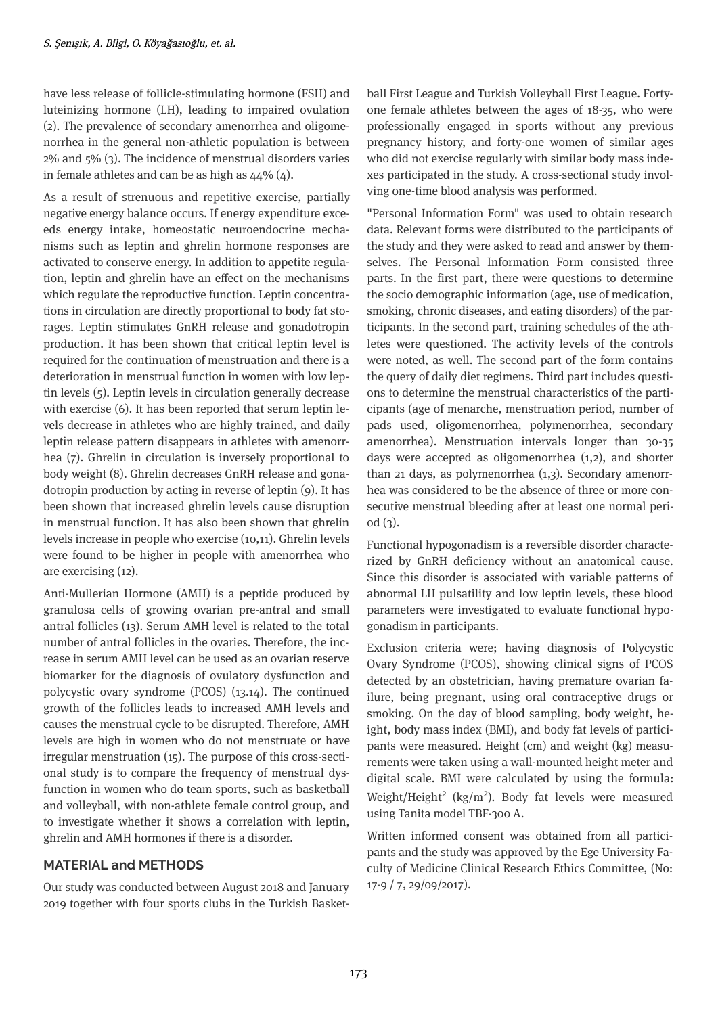have less release of follicle-stimulating hormone (FSH) and luteinizing hormone (LH), leading to impaired ovulation (2). The prevalence of secondary amenorrhea and oligomenorrhea in the general non-athletic population is between 2% and 5% (3). The incidence of menstrual disorders varies in female athletes and can be as high as  $44\%$  (4).

As a result of strenuous and repetitive exercise, partially negative energy balance occurs. If energy expenditure exceeds energy intake, homeostatic neuroendocrine mechanisms such as leptin and ghrelin hormone responses are activated to conserve energy. In addition to appetite regulation, leptin and ghrelin have an effect on the mechanisms which regulate the reproductive function. Leptin concentrations in circulation are directly proportional to body fat storages. Leptin stimulates GnRH release and gonadotropin production. It has been shown that critical leptin level is required for the continuation of menstruation and there is a deterioration in menstrual function in women with low leptin levels (5). Leptin levels in circulation generally decrease with exercise (6). It has been reported that serum leptin levels decrease in athletes who are highly trained, and daily leptin release pattern disappears in athletes with amenorrhea (7). Ghrelin in circulation is inversely proportional to body weight (8). Ghrelin decreases GnRH release and gonadotropin production by acting in reverse of leptin (9). It has been shown that increased ghrelin levels cause disruption in menstrual function. It has also been shown that ghrelin levels increase in people who exercise (10,11). Ghrelin levels were found to be higher in people with amenorrhea who are exercising (12).

Anti-Mullerian Hormone (AMH) is a peptide produced by granulosa cells of growing ovarian pre-antral and small antral follicles (13). Serum AMH level is related to the total number of antral follicles in the ovaries. Therefore, the increase in serum AMH level can be used as an ovarian reserve biomarker for the diagnosis of ovulatory dysfunction and polycystic ovary syndrome (PCOS) (13.14). The continued growth of the follicles leads to increased AMH levels and causes the menstrual cycle to be disrupted. Therefore, AMH levels are high in women who do not menstruate or have irregular menstruation (15). The purpose of this cross-sectional study is to compare the frequency of menstrual dysfunction in women who do team sports, such as basketball and volleyball, with non-athlete female control group, and to investigate whether it shows a correlation with leptin, ghrelin and AMH hormones if there is a disorder.

# **MATERIAL and METHODS**

Our study was conducted between August 2018 and January 2019 together with four sports clubs in the Turkish Basketball First League and Turkish Volleyball First League. Fortyone female athletes between the ages of 18-35, who were professionally engaged in sports without any previous pregnancy history, and forty-one women of similar ages who did not exercise regularly with similar body mass indexes participated in the study. A cross-sectional study involving one-time blood analysis was performed.

"Personal Information Form" was used to obtain research data. Relevant forms were distributed to the participants of the study and they were asked to read and answer by themselves. The Personal Information Form consisted three parts. In the first part, there were questions to determine the socio demographic information (age, use of medication, smoking, chronic diseases, and eating disorders) of the participants. In the second part, training schedules of the athletes were questioned. The activity levels of the controls were noted, as well. The second part of the form contains the query of daily diet regimens. Third part includes questions to determine the menstrual characteristics of the participants (age of menarche, menstruation period, number of pads used, oligomenorrhea, polymenorrhea, secondary amenorrhea). Menstruation intervals longer than 30-35 days were accepted as oligomenorrhea (1,2), and shorter than 21 days, as polymenorrhea (1,3). Secondary amenorrhea was considered to be the absence of three or more consecutive menstrual bleeding after at least one normal period  $(3)$ .

Functional hypogonadism is a reversible disorder characterized by GnRH deficiency without an anatomical cause. Since this disorder is associated with variable patterns of abnormal LH pulsatility and low leptin levels, these blood parameters were investigated to evaluate functional hypogonadism in participants.

Exclusion criteria were; having diagnosis of Polycystic Ovary Syndrome (PCOS), showing clinical signs of PCOS detected by an obstetrician, having premature ovarian fa ilure, being pregnant, using oral contraceptive drugs or smoking. On the day of blood sampling, body weight, he ight, body mass index (BMI), and body fat levels of participants were measured. Height (cm) and weight (kg) measurements were taken using a wall-mounted height meter and digital scale. BMI were calculated by using the formula: Weight/Height<sup>2</sup> (kg/m<sup>2</sup>). Body fat levels were measured using Tanita model TBF-300 A.

Written informed consent was obtained from all participants and the study was approved by the Ege University Faculty of Medicine Clinical Research Ethics Committee, (No: 17-9 / 7, 29/09/2017).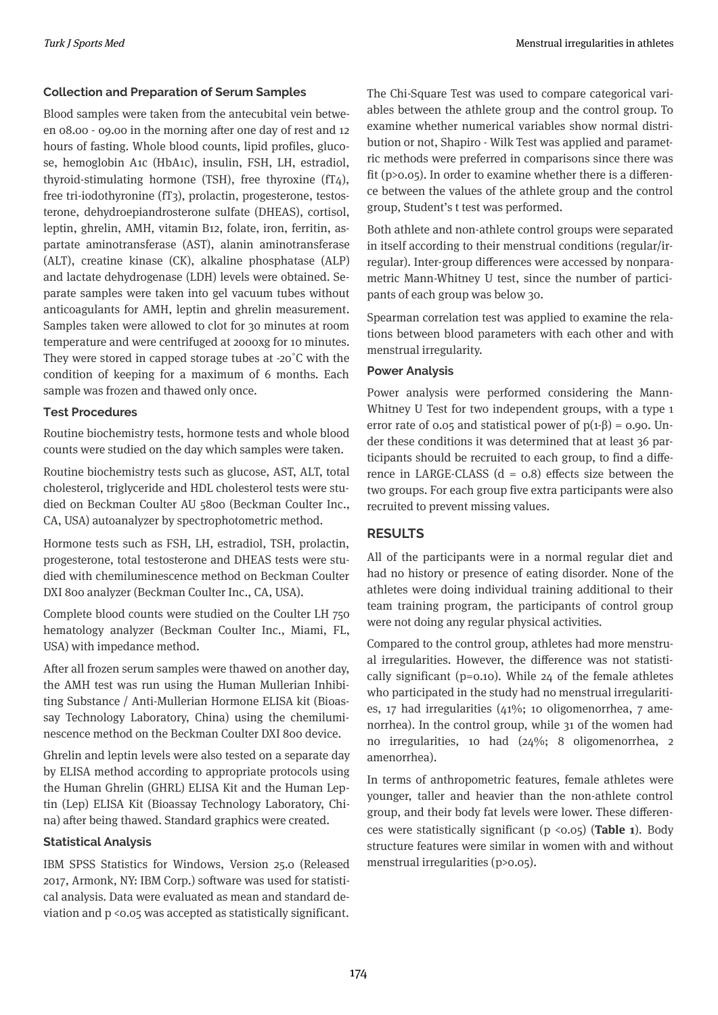## **Collection and Preparation of Serum Samples**

Blood samples were taken from the antecubital vein between 08.00 - 09.00 in the morning after one day of rest and 12 hours of fasting. Whole blood counts, lipid profiles, glucose, hemoglobin A1c (HbA1c), insulin, FSH, LH, estradiol, thyroid-stimulating hormone (TSH), free thyroxine (fT4), free tri-iodothyronine (fT3), prolactin, progesterone, testosterone, dehydroepiandrosterone sulfate (DHEAS), cortisol, leptin, ghrelin, AMH, vitamin B12, folate, iron, ferritin, aspartate aminotransferase (AST), alanin aminotransferase (ALT), creatine kinase (CK), alkaline phosphatase (ALP) and lactate dehydrogenase (LDH) levels were obtained. Separate samples were taken into gel vacuum tubes without anticoagulants for AMH, leptin and ghrelin measurement. Samples taken were allowed to clot for 30 minutes at room temperature and were centrifuged at 2000xg for 10 minutes. They were stored in capped storage tubes at -20˚C with the condition of keeping for a maximum of 6 months. Each sample was frozen and thawed only once.

## **Test Procedures**

Routine biochemistry tests, hormone tests and whole blood counts were studied on the day which samples were taken.

Routine biochemistry tests such as glucose, AST, ALT, total cholesterol, triglyceride and HDL cholesterol tests were studied on Beckman Coulter AU 5800 (Beckman Coulter Inc., CA, USA) autoanalyzer by spectrophotometric method.

Hormone tests such as FSH, LH, estradiol, TSH, prolactin, progesterone, total testosterone and DHEAS tests were studied with chemiluminescence method on Beckman Coulter DXI 800 analyzer (Beckman Coulter Inc., CA, USA).

Complete blood counts were studied on the Coulter LH 750 hematology analyzer (Beckman Coulter Inc., Miami, FL, USA) with impedance method.

After all frozen serum samples were thawed on another day, the AMH test was run using the Human Mullerian Inhibiting Substance / Anti-Mullerian Hormone ELISA kit (Bioassay Technology Laboratory, China) using the chemiluminescence method on the Beckman Coulter DXI 800 device.

Ghrelin and leptin levels were also tested on a separate day by ELISA method according to appropriate protocols using the Human Ghrelin (GHRL) ELISA Kit and the Human Leptin (Lep) ELISA Kit (Bioassay Technology Laboratory, China) after being thawed. Standard graphics were created.

## **Statistical Analysis**

IBM SPSS Statistics for Windows, Version 25.0 (Released 2017, Armonk, NY: IBM Corp.) software was used for statistical analysis. Data were evaluated as mean and standard deviation and p <0.05 was accepted as statistically significant. The Chi-Square Test was used to compare categorical variables between the athlete group and the control group. To examine whether numerical variables show normal distribution or not, Shapiro - Wilk Test was applied and parametric methods were preferred in comparisons since there was fit ( $p>0.05$ ). In order to examine whether there is a difference between the values of the athlete group and the control group, Student's t test was performed.

Both athlete and non-athlete control groups were separated in itself according to their menstrual conditions (regular/irregular). Inter-group differences were accessed by nonparametric Mann-Whitney U test, since the number of participants of each group was below 30.

Spearman correlation test was applied to examine the relations between blood parameters with each other and with menstrual irregularity.

## **Power Analysis**

Power analysis were performed considering the Mann-Whitney U Test for two independent groups, with a type 1 error rate of 0.05 and statistical power of  $p(1-\beta) = 0.90$ . Under these conditions it was determined that at least 36 participants should be recruited to each group, to find a difference in LARGE-CLASS  $(d = 0.8)$  effects size between the two groups. For each group five extra participants were also recruited to prevent missing values.

## **RESULTS**

All of the participants were in a normal regular diet and had no history or presence of eating disorder. None of the athletes were doing individual training additional to their team training program, the participants of control group were not doing any regular physical activities.

Compared to the control group, athletes had more menstrual irregularities. However, the difference was not statistically significant ( $p=0.10$ ). While 24 of the female athletes who participated in the study had no menstrual irregularities, 17 had irregularities (41%; 10 oligomenorrhea, 7 amenorrhea). In the control group, while 31 of the women had no irregularities, 10 had (24%; 8 oligomenorrhea, 2 amenorrhea).

In terms of anthropometric features, female athletes were younger, taller and heavier than the non-athlete control group, and their body fat levels were lower. These differences were statistically significant (p <0.05) (**Table 1**). Body structure features were similar in women with and without menstrual irregularities (p>0.05).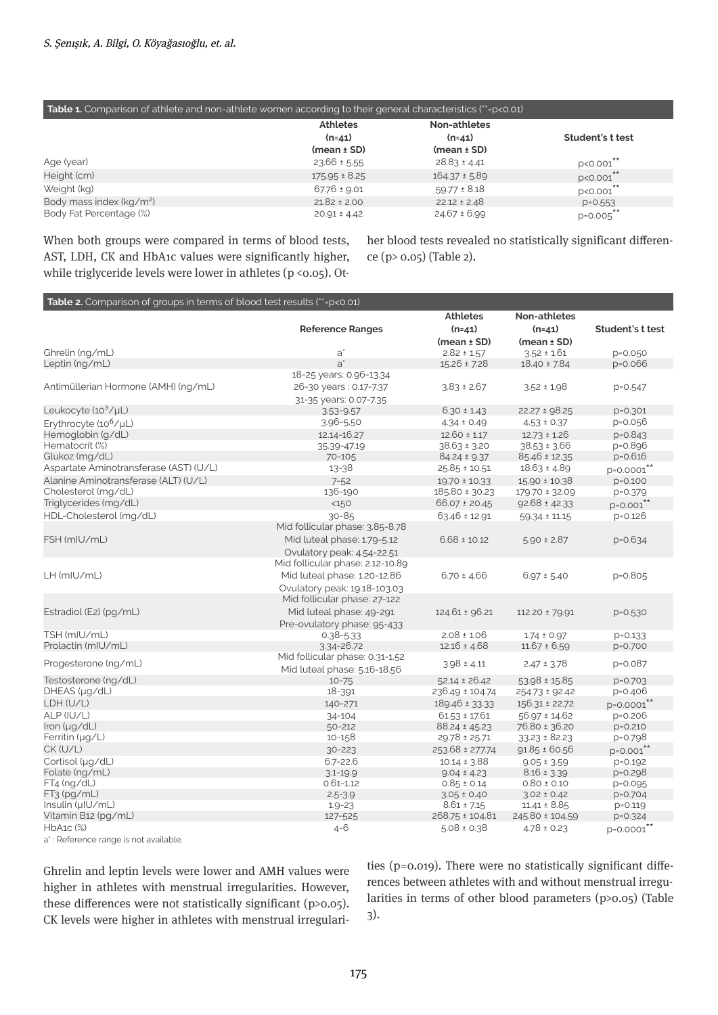#### **Table 1.** Comparison of athlete and non-athlete women according to their general characteristics (\*\*=p<0.01)

|                                      | <b>Athletes</b>   | Non-athletes      |                  |
|--------------------------------------|-------------------|-------------------|------------------|
|                                      | $(n=41)$          | $(n=41)$          | Student's t test |
|                                      | $(mean \pm SD)$   | $(mean \pm SD)$   |                  |
| Age (year)                           | $23.66 \pm 5.55$  | $28.83 \pm 4.41$  | $p < 0.001$ **   |
| Height (cm)                          | $175.95 \pm 8.25$ | $164.37 \pm 5.89$ | p<0.001**        |
| Weight (kg)                          | $67.76 \pm 9.01$  | $59.77 \pm 8.18$  | p<0.001**        |
| Body mass index (kg/m <sup>2</sup> ) | $21.82 \pm 2.00$  | $22.12 \pm 2.48$  | $p = 0.553$      |
| Body Fat Percentage (%)              | $20.91 \pm 4.42$  | $24.67 \pm 6.99$  | $p = 0.005$ **   |

When both groups were compared in terms of blood tests, AST, LDH, CK and HbA1c values were significantly higher, while triglyceride levels were lower in athletes (p <0.05). Other blood tests revealed no statistically significant difference (p> 0.05) (Table 2).

#### **Table 2.** Comparison of groups in terms of blood test results (\*\*=p<0.01)

|                                        |                                  | <b>Athletes</b>    | <b>Non-athletes</b>                 |                        |
|----------------------------------------|----------------------------------|--------------------|-------------------------------------|------------------------|
|                                        | <b>Reference Ranges</b>          | $(n=41)$           | $(n=41)$                            | Student's t test       |
|                                        |                                  | $(mean \pm SD)$    | $(mean \pm SD)$                     |                        |
| Ghrelin (ng/mL)                        | $a^*$                            | $2.82 \pm 1.57$    | $3.52 \pm 1.61$                     | p=0.050                |
| Leptin (ng/mL)                         | $a^*$                            | $15.26 \pm 7.28$   | $18.40 \pm 7.84$                    | $p = 0.066$            |
|                                        | 18-25 years: 0.96-13.34          |                    |                                     |                        |
| Antimüllerian Hormone (AMH) (ng/mL)    | 26-30 years: 0.17-7.37           | $3.83 \pm 2.67$    | $3.52 \pm 1.98$                     | $p = 0.547$            |
|                                        | 31-35 years: 0.07-7.35           |                    |                                     |                        |
| Leukocyte $(10^3/\mu L)$               | $3.53 - 9.57$                    | $6.30 \pm 1.43$    | $22.27 \pm 98.25$                   | $p = 0.301$            |
| Erythrocyte (10 <sup>6</sup> /µL)      | 3.96-5.50                        | $4.34 \pm 0.49$    | $4.53 \pm 0.37$                     | p=0.056                |
| Hemoglobin (g/dL)                      | 12.14-16.27                      | $12.60 \pm 1.17$   | $12.73 \pm 1.26$                    | $p = 0.843$            |
| Hematocrit (%)                         | 35.39-47.19                      | $38.63 \pm 3.20$   | $38.53 \pm 3.66$                    | p=0.896                |
| Glukoz (mg/dL)                         | 70-105                           | $84.24 \pm 9.37$   | 85.46 ± 12.35                       | p=0.616                |
| Aspartate Aminotransferase (AST) (U/L) | $13 - 38$                        | $25.85 \pm 10.51$  | $18.63 \pm 4.89$                    | p=0.0001**             |
| Alanine Aminotransferase (ALT) (U/L)   | $7 - 52$                         | 19.70 ± 10.33      | $15.90 \pm 10.38$                   | $p = 0.100$            |
| Cholesterol (mg/dL)                    | 136-190                          | 185.80 ± 30.23     | 179.70 ± 32.09                      | p=0.379                |
| Triglycerides (mg/dL)                  | <150                             | $66.07 \pm 20.45$  | $92.68 \pm 42.33$                   | $p = 0.001$ **         |
| HDL-Cholesterol (mg/dL)                | $30 - 85$                        | $63.46 \pm 12.91$  | $59.34 \pm 11.15$                   | $p = 0.126$            |
|                                        | Mid follicular phase: 3.85-8.78  |                    |                                     |                        |
| FSH (mIU/mL)                           | Mid luteal phase: 1.79-5.12      | $6.68 \pm 10.12$   | $5.90 \pm 2.87$                     | $p = 0.634$            |
|                                        | Ovulatory peak: 4.54-22.51       |                    |                                     |                        |
|                                        | Mid follicular phase: 2.12-10.89 |                    |                                     |                        |
| LH (mIU/mL)                            | Mid luteal phase: 1.20-12.86     | $6.70 \pm 4.66$    | $6.97 \pm 5.40$                     | $p = 0.805$            |
|                                        | Ovulatory peak: 19.18-103.03     |                    |                                     |                        |
|                                        | Mid follicular phase: 27-122     |                    |                                     |                        |
| Estradiol (E2) (pg/mL)                 | Mid luteal phase: 49-291         | 124.61 ± 96.21     | 112.20 ± 79.91                      |                        |
|                                        |                                  |                    |                                     | $p = 0.530$            |
| TSH (mIU/mL)                           | Pre-ovulatory phase: 95-433      | $2.08 \pm 1.06$    |                                     |                        |
| Prolactin (mIU/mL)                     | $0.38 - 5.33$<br>3.34-26.72      | $12.16 \pm 4.68$   | $1.74 \pm 0.97$<br>$11.67 \pm 6.59$ | $p = 0.133$<br>p=0.700 |
|                                        | Mid follicular phase: 0.31-1.52  |                    |                                     |                        |
| Progesterone (ng/mL)                   | Mid luteal phase: 5.16-18.56     | $3.98 \pm 4.11$    | $2.47 \pm 3.78$                     | p=0.087                |
| Testosterone (ng/dL)                   | $10 - 75$                        | $52.14 \pm 26.42$  | $53.98 \pm 15.85$                   | $p = 0.703$            |
| DHEAS (µg/dL)                          | 18-391                           | 236.49 ± 104.74    | 254.73 ± 92.42                      | p=0.406                |
| LDH (U/L)                              | 140-271                          | $189.46 \pm 33.33$ | $156.31 \pm 22.72$                  | $p = 0.0001$ **        |
| ALP (IU/L)                             | 34-104                           | $61.53 \pm 17.61$  | $56.97 \pm 14.62$                   | $p = 0.206$            |
| Iron (µg/dL)                           | $50 - 212$                       | 88.24 ± 45.23      | 76.80 ± 36.20                       | $p = 0.210$            |
| Ferritin $(\mu q/L)$                   | $10 - 158$                       | $29.78 \pm 25.71$  | $33.23 \pm 82.23$                   | p=0.798                |
| CK (U/L)                               | $30 - 223$                       | 253.68 ± 277.74    | $91.85 \pm 60.56$                   | $p = 0.001$ **         |
| Cortisol (µg/dL)                       | $6.7 - 22.6$                     | $10.14 \pm 3.88$   |                                     |                        |
| Folate (ng/mL)                         | $3.1 - 19.9$                     | $9.04 \pm 4.23$    | $9.05 \pm 3.59$<br>$8.16 \pm 3.39$  | $p = 0.192$<br>p=0.298 |
| $FT4$ (ng/dL)                          | $0.61 - 1.12$                    | $0.85 \pm 0.14$    | $0.80 \pm 0.10$                     | $p = 0.095$            |
| FT <sub>3</sub> (pg/mL)                | $2.5 - 3.9$                      | $3.05 \pm 0.40$    | $3.02 \pm 0.42$                     | $p = 0.704$            |
| Insulin (µIU/mL)                       | $1.9 - 23$                       | $8.61 \pm 7.15$    | $11.41 \pm 8.85$                    | $p = 0.119$            |
| Vitamin B12 (pg/mL)                    | 127-525                          | 268.75 ± 104.81    | 245.80 ± 104.59                     | $p = 0.324$            |
| HbA1c (%)                              | $4 - 6$                          | $5.08 \pm 0.38$    | $4.78 \pm 0.23$                     | $p = 0.0001$ **        |
|                                        |                                  |                    |                                     |                        |

a\* : Reference range is not available.

Ghrelin and leptin levels were lower and AMH values were higher in athletes with menstrual irregularities. However, these differences were not statistically significant (p>0.05). CK levels were higher in athletes with menstrual irregularities (p=0.019). There were no statistically significant differences between athletes with and without menstrual irregularities in terms of other blood parameters (p>0.05) (Table 3).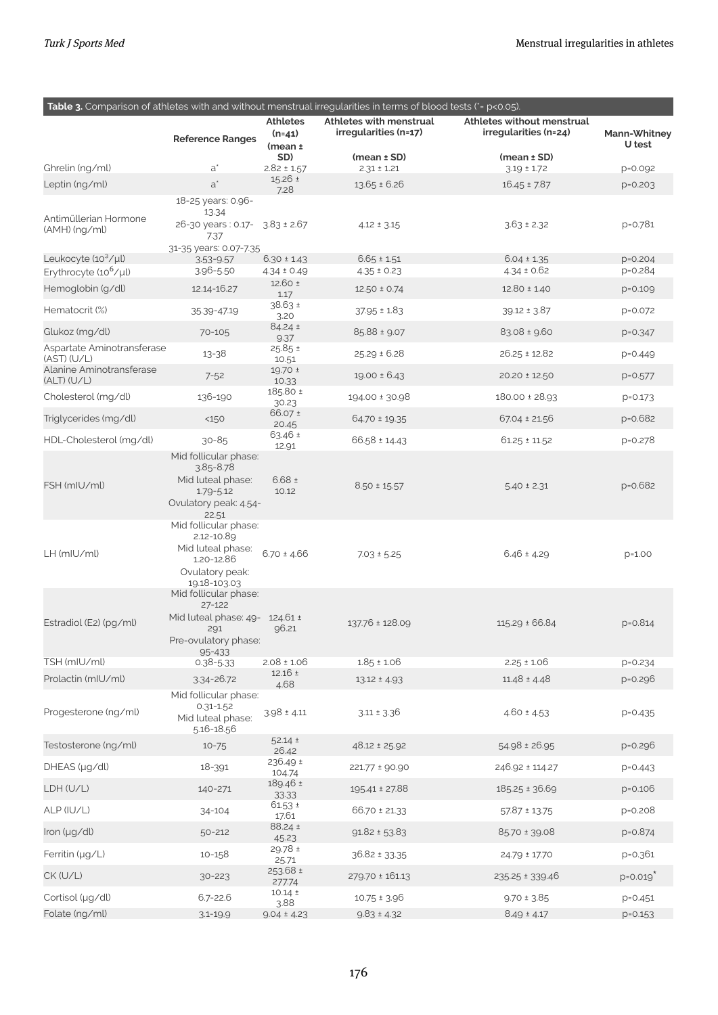|                                                                      |                                            |                                    | Table 3. Comparison of athletes with and without menstrual irregularities in terms of blood tests (*= p<0.05). |                                    |                          |
|----------------------------------------------------------------------|--------------------------------------------|------------------------------------|----------------------------------------------------------------------------------------------------------------|------------------------------------|--------------------------|
|                                                                      |                                            | <b>Athletes</b>                    | Athletes with menstrual                                                                                        | Athletes without menstrual         |                          |
|                                                                      | <b>Reference Ranges</b>                    | $(n=41)$                           | irregularities (n=17)                                                                                          | irregularities (n=24)              | Mann-Whitney<br>U test   |
|                                                                      |                                            | (mean <sub>±</sub> )<br>SD)        | $(mean \pm SD)$                                                                                                | $(mean \pm SD)$                    |                          |
| Ghrelin (ng/ml)                                                      | $a^*$                                      | $2.82 \pm 1.57$                    | $2.31 \pm 1.21$                                                                                                | $3.19 \pm 1.72$                    | p=0.092                  |
| Leptin (ng/ml)                                                       | $a^*$                                      | 15.26 ±<br>7.28                    | $13.65 \pm 6.26$                                                                                               | $16.45 \pm 7.87$                   | $p = 0.203$              |
|                                                                      | 18-25 years: 0.96-                         |                                    |                                                                                                                |                                    |                          |
| Antimüllerian Hormone                                                | 13.34<br>26-30 years: 0.17- 3.83 ± 2.67    |                                    | $4.12 \pm 3.15$                                                                                                | $3.63 \pm 2.32$                    | p=0.781                  |
| (AMH) (ng/ml)                                                        | 7.37                                       |                                    |                                                                                                                |                                    |                          |
|                                                                      | 31-35 years: 0.07-7.35                     |                                    |                                                                                                                |                                    |                          |
| Leukocyte (10 <sup>3</sup> /µl)<br>Erythrocyte (10 <sup>6</sup> /µl) | $3.53 - 9.57$<br>3.96-5.50                 | $6.30 \pm 1.43$<br>$4.34 \pm 0.49$ | $6.65 \pm 1.51$<br>$4.35 \pm 0.23$                                                                             | $6.04 \pm 1.35$<br>$4.34 \pm 0.62$ | $p = 0.204$<br>p=0.284   |
| Hemoglobin (g/dl)                                                    | 12.14-16.27                                | $12.60 \pm$                        | $12.50 \pm 0.74$                                                                                               | $12.80 \pm 1.40$                   | $p = 0.109$              |
|                                                                      |                                            | 1.17<br>38.63 ±                    |                                                                                                                |                                    |                          |
| Hematocrit (%)                                                       | 35.39-47.19                                | 3.20                               | $37.95 \pm 1.83$                                                                                               | $39.12 \pm 3.87$                   | p=0.072                  |
| Glukoz (mg/dl)                                                       | 70-105                                     | 84.24 ±<br>9.37                    | 85.88 ± 9.07                                                                                                   | $83.08 \pm 9.60$                   | p=0.347                  |
| Aspartate Aminotransferase<br>(AST) (U/L)                            | 13-38                                      | 25.85 ±                            | $25.29 \pm 6.28$                                                                                               | $26.25 \pm 12.82$                  | $p = 0.449$              |
| Alanine Aminotransferase                                             |                                            | 10.51<br>19.70 ±                   | $19.00 \pm 6.43$                                                                                               | 20.20 ± 12.50                      |                          |
| (ALT) (U/L)                                                          | $7 - 52$                                   | 10.33<br>185.80 ±                  |                                                                                                                |                                    | $p = 0.577$              |
| Cholesterol (mg/dl)                                                  | 136-190                                    | 30.23                              | 194.00 ± 30.98                                                                                                 | 180.00 ± 28.93                     | $p = 0.173$              |
| Triglycerides (mg/dl)                                                | <150                                       | 66.07 ±<br>20.45                   | $64.70 \pm 19.35$                                                                                              | $67.04 \pm 21.56$                  | p=0.682                  |
| HDL-Cholesterol (mg/dl)                                              | $30 - 85$                                  | 63.46 ±<br>12.91                   | $66.58 \pm 14.43$                                                                                              | $61.25 \pm 11.52$                  | p=0.278                  |
|                                                                      | Mid follicular phase:                      |                                    |                                                                                                                |                                    |                          |
|                                                                      | $3.85 - 8.78$<br>Mid luteal phase:         | $6.68 \pm$                         |                                                                                                                |                                    |                          |
| FSH (mIU/ml)                                                         | $1.79 - 5.12$                              | 10.12                              | $8.50 \pm 15.57$                                                                                               | $5.40 \pm 2.31$                    | p=0.682                  |
|                                                                      | Ovulatory peak: 4.54-<br>22.51             |                                    |                                                                                                                |                                    |                          |
|                                                                      | Mid follicular phase:                      |                                    |                                                                                                                |                                    |                          |
|                                                                      | 2.12-10.89                                 |                                    |                                                                                                                |                                    |                          |
| LH (mIU/ml)                                                          | Mid luteal phase:<br>1.20-12.86            | $6.70 \pm 4.66$                    | $7.03 \pm 5.25$                                                                                                | $6.46 \pm 4.29$                    | $p=1.00$                 |
|                                                                      | Ovulatory peak:                            |                                    |                                                                                                                |                                    |                          |
|                                                                      | 19.18-103.03<br>Mid follicular phase:      |                                    |                                                                                                                |                                    |                          |
|                                                                      | 27-122                                     |                                    |                                                                                                                |                                    |                          |
| Estradiol (E2) (pg/ml)                                               | Mid luteal phase: $49 - 124.61 \pm$<br>291 | 96.21                              | 137.76 ± 128.09                                                                                                | $115.29 \pm 66.84$                 | $p = 0.814$              |
|                                                                      | Pre-ovulatory phase:                       |                                    |                                                                                                                |                                    |                          |
| TSH (mIU/ml)                                                         | 95-433<br>$0.38 - 5.33$                    | $2.08 \pm 1.06$                    | $1.85 \pm 1.06$                                                                                                | $2.25 \pm 1.06$                    | $p = 0.234$              |
| Prolactin (mIU/ml)                                                   | 3.34-26.72                                 | $12.16 \pm$                        | $13.12 \pm 4.93$                                                                                               | $11.48 \pm 4.48$                   | p=0.296                  |
|                                                                      | Mid follicular phase:                      | 4.68                               |                                                                                                                |                                    |                          |
| Progesterone (ng/ml)                                                 | $0.31 - 1.52$                              | $3.98 \pm 4.11$                    | $3.11 \pm 3.36$                                                                                                | $4.60 \pm 4.53$                    | $p = 0.435$              |
|                                                                      | Mid luteal phase:<br>5.16-18.56            |                                    |                                                                                                                |                                    |                          |
| Testosterone (ng/ml)                                                 | $10 - 75$                                  | $52.14 \pm$                        | 48.12 ± 25.92                                                                                                  | 54.98 ± 26.95                      | $p = 0.296$              |
| DHEAS (µg/dl)                                                        | 18-391                                     | 26.42<br>236.49 ±                  |                                                                                                                | 246.92 ± 114.27                    |                          |
|                                                                      |                                            | 104.74<br>189.46 ±                 | 221.77 ± 90.90                                                                                                 |                                    | $p = 0.443$              |
| LDH (U/L)                                                            | 140-271                                    | 33.33                              | 195.41 ± 27.88                                                                                                 | 185.25 ± 36.69                     | $p = 0.106$              |
| ALP (IU/L)                                                           | 34-104                                     | $61.53 \pm$<br>17.61               | 66.70 ± 21.33                                                                                                  | $57.87 \pm 13.75$                  | p=0.208                  |
| Iron (µg/dl)                                                         | 50-212                                     | 88.24 ±<br>45.23                   | $91.82 \pm 53.83$                                                                                              | 85.70 ± 39.08                      | $p = 0.874$              |
| Ferritin (µg/L)                                                      | 10-158                                     | 29.78 ±<br>25.71                   | 36.82 ± 33.35                                                                                                  | 24.79 ± 17.70                      | p=0.361                  |
| CK (U/L)                                                             | $30 - 223$                                 | $253.68 \pm$                       | 279.70 ± 161.13                                                                                                | 235.25 ± 339.46                    | $p = 0.019$ <sup>2</sup> |
| Cortisol (µg/dl)                                                     | $6.7 - 22.6$                               | 277.74<br>$10.14 \pm$              | $10.75 \pm 3.96$                                                                                               | $9.70 \pm 3.85$                    | $p = 0.451$              |
| Folate (ng/ml)                                                       | $3.1 - 19.9$                               | 3.88<br>$9.04 \pm 4.23$            | $9.83 \pm 4.32$                                                                                                | $8.49 \pm 4.17$                    | $p = 0.153$              |
|                                                                      |                                            |                                    |                                                                                                                |                                    |                          |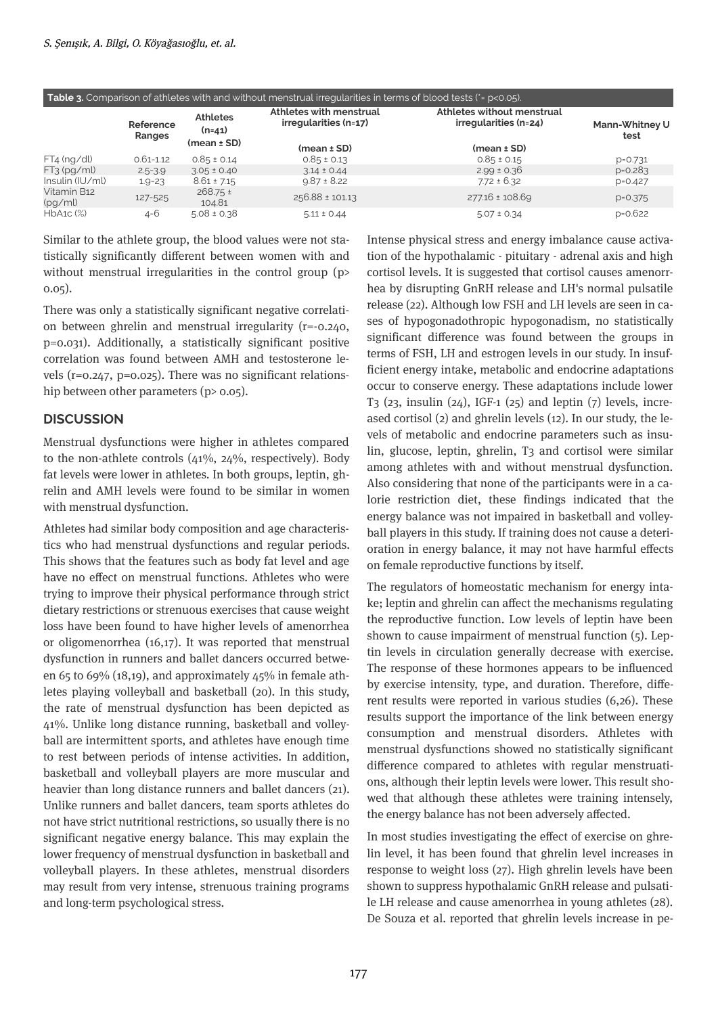| Table 3. Comparison of athletes with and without menstrual irregularities in terms of blood tests (*= p<0.05). |                     |                                                |                                                  |                                                     |                        |
|----------------------------------------------------------------------------------------------------------------|---------------------|------------------------------------------------|--------------------------------------------------|-----------------------------------------------------|------------------------|
|                                                                                                                | Reference<br>Ranges | <b>Athletes</b><br>$(n=41)$<br>$(mean \pm SD)$ | Athletes with menstrual<br>irregularities (n=17) | Athletes without menstrual<br>irregularities (n=24) | Mann-Whitney U<br>test |
|                                                                                                                |                     |                                                | $(mean \pm SD)$                                  | $(mean \pm SD)$                                     |                        |
| $FT4$ (ng/dl)                                                                                                  | $0.61 - 1.12$       | $0.85 \pm 0.14$                                | $0.85 \pm 0.13$                                  | $0.85 \pm 0.15$                                     | $D = 0.731$            |
| $FT3$ (pg/ml)                                                                                                  | $2.5 - 3.9$         | $3.05 \pm 0.40$                                | $3.14 \pm 0.44$                                  | $2.99 \pm 0.36$                                     | $p = 0.283$            |
| Insulin (IU/ml)                                                                                                | $1.9 - 2.3$         | $8.61 \pm 7.15$                                | $9.87 \pm 8.22$                                  | $7.72 \pm 6.32$                                     | $p=0.427$              |
| Vitamin B12<br>(pg/ml)                                                                                         | 127-525             | $268.75 \pm$<br>104.81                         | 256.88 ± 101.13                                  | 277.16 ± 108.69                                     | $p = 0.375$            |
| $HbA1C$ $(\%)$                                                                                                 | 4-6                 | $5.08 \pm 0.38$                                | $5.11 \pm 0.44$                                  | $5.07 \pm 0.34$                                     | $p = 0.622$            |

Similar to the athlete group, the blood values were not statistically significantly different between women with and without menstrual irregularities in the control group (p> 0.05).

There was only a statistically significant negative correlation between ghrelin and menstrual irregularity (r=-0.240, p=0.031). Additionally, a statistically significant positive correlation was found between AMH and testosterone levels (r=0.247, p=0.025). There was no significant relationship between other parameters  $(p>0.05)$ .

## **DISCUSSION**

Menstrual dysfunctions were higher in athletes compared to the non-athlete controls (41%, 24%, respectively). Body fat levels were lower in athletes. In both groups, leptin, ghrelin and AMH levels were found to be similar in women with menstrual dysfunction.

Athletes had similar body composition and age characteristics who had menstrual dysfunctions and regular periods. This shows that the features such as body fat level and age have no effect on menstrual functions. Athletes who were trying to improve their physical performance through strict dietary restrictions or strenuous exercises that cause weight loss have been found to have higher levels of amenorrhea or oligomenorrhea (16,17). It was reported that menstrual dysfunction in runners and ballet dancers occurred between 65 to 69% (18,19), and approximately 45% in female athletes playing volleyball and basketball (20). In this study, the rate of menstrual dysfunction has been depicted as 41%. Unlike long distance running, basketball and volleyball are intermittent sports, and athletes have enough time to rest between periods of intense activities. In addition, basketball and volleyball players are more muscular and heavier than long distance runners and ballet dancers (21). Unlike runners and ballet dancers, team sports athletes do not have strict nutritional restrictions, so usually there is no significant negative energy balance. This may explain the lower frequency of menstrual dysfunction in basketball and volleyball players. In these athletes, menstrual disorders may result from very intense, strenuous training programs and long-term psychological stress.

Intense physical stress and energy imbalance cause activation of the hypothalamic - pituitary - adrenal axis and high cortisol levels. It is suggested that cortisol causes amenorrhea by disrupting GnRH release and LH's normal pulsatile release (22). Although low FSH and LH levels are seen in cases of hypogonadothropic hypogonadism, no statistically significant difference was found between the groups in terms of FSH, LH and estrogen levels in our study. In insufficient energy intake, metabolic and endocrine adaptations occur to conserve energy. These adaptations include lower T<sub>3</sub> (2<sub>3</sub>, insulin (2<sub>4</sub>), IGF-1 (2<sub>5</sub>) and leptin ( $7$ ) levels, increased cortisol (2) and ghrelin levels (12). In our study, the levels of metabolic and endocrine parameters such as insulin, glucose, leptin, ghrelin, T3 and cortisol were similar among athletes with and without menstrual dysfunction. Also considering that none of the participants were in a calorie restriction diet, these findings indicated that the energy balance was not impaired in basketball and volleyball players in this study. If training does not cause a deterioration in energy balance, it may not have harmful effects on female reproductive functions by itself.

The regulators of homeostatic mechanism for energy intake; leptin and ghrelin can affect the mechanisms regulating the reproductive function. Low levels of leptin have been shown to cause impairment of menstrual function (5). Leptin levels in circulation generally decrease with exercise. The response of these hormones appears to be influenced by exercise intensity, type, and duration. Therefore, different results were reported in various studies (6,26). These results support the importance of the link between energy consumption and menstrual disorders. Athletes with menstrual dysfunctions showed no statistically significant difference compared to athletes with regular menstruations, although their leptin levels were lower. This result showed that although these athletes were training intensely, the energy balance has not been adversely affected.

In most studies investigating the effect of exercise on ghrelin level, it has been found that ghrelin level increases in response to weight loss (27). High ghrelin levels have been shown to suppress hypothalamic GnRH release and pulsatile LH release and cause amenorrhea in young athletes (28). De Souza et al. reported that ghrelin levels increase in pe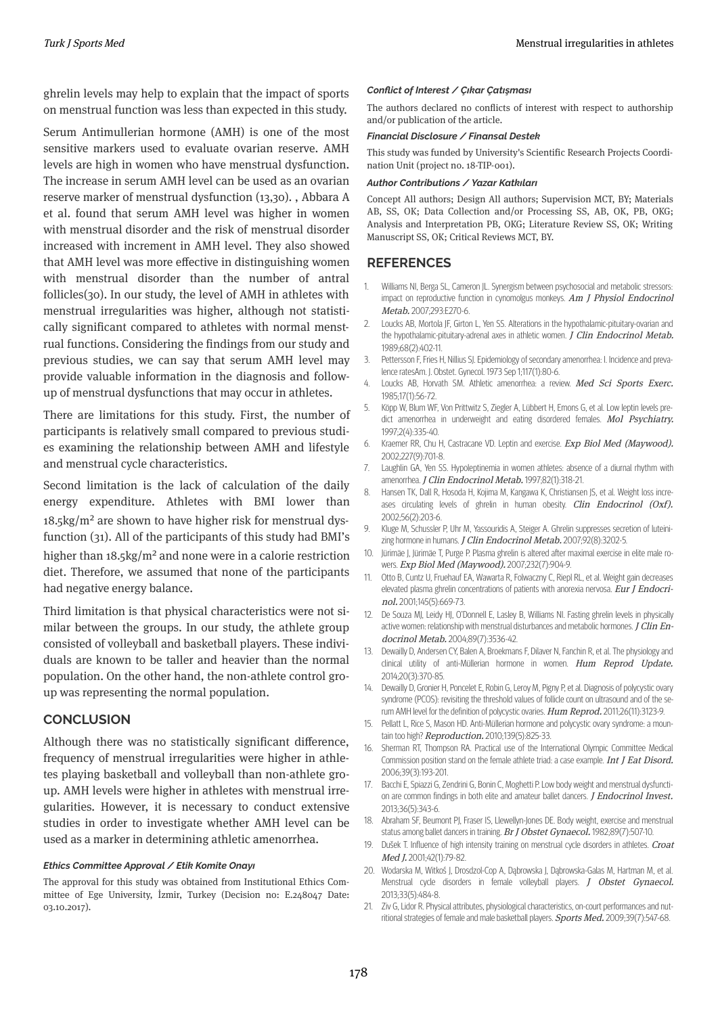ghrelin levels may help to explain that the impact of sports on menstrual function was less than expected in this study.

Serum Antimullerian hormone (AMH) is one of the most sensitive markers used to evaluate ovarian reserve. AMH levels are high in women who have menstrual dysfunction. The increase in serum AMH level can be used as an ovarian reserve marker of menstrual dysfunction (13,30). , Abbara A et al. found that serum AMH level was higher in women with menstrual disorder and the risk of menstrual disorder increased with increment in AMH level. They also showed that AMH level was more effective in distinguishing women with menstrual disorder than the number of antral follicles(30). In our study, the level of AMH in athletes with menstrual irregularities was higher, although not statistically significant compared to athletes with normal menstrual functions. Considering the findings from our study and previous studies, we can say that serum AMH level may provide valuable information in the diagnosis and followup of menstrual dysfunctions that may occur in athletes.

There are limitations for this study. First, the number of participants is relatively small compared to previous studies examining the relationship between AMH and lifestyle and menstrual cycle characteristics.

Second limitation is the lack of calculation of the daily energy expenditure. Athletes with BMI lower than  $18.5\text{kg/m}^2$  are shown to have higher risk for menstrual dysfunction (31). All of the participants of this study had BMI's higher than  $18.5 \text{kg/m}^2$  and none were in a calorie restriction diet. Therefore, we assumed that none of the participants had negative energy balance.

Third limitation is that physical characteristics were not similar between the groups. In our study, the athlete group consisted of volleyball and basketball players. These individuals are known to be taller and heavier than the normal population. On the other hand, the non-athlete control group was representing the normal population.

#### **CONCLUSION**

Although there was no statistically significant difference, frequency of menstrual irregularities were higher in athletes playing basketball and volleyball than non-athlete group. AMH levels were higher in athletes with menstrual irregularities. However, it is necessary to conduct extensive studies in order to investigate whether AMH level can be used as a marker in determining athletic amenorrhea.

#### *Ethics Committee Approval / Etik Komite Onayı*

The approval for this study was obtained from Institutional Ethics Committee of Ege University, İzmir, Turkey (Decision no: E.248047 Date: 03.10.2017).

#### *Conflict of Interest / Çıkar Çatışması*

The authors declared no conflicts of interest with respect to authorship and/or publication of the article.

#### *Financial Disclosure / Finansal Destek*

This study was funded by University's Scientific Research Projects Coordination Unit (project no. 18-TIP-001).

#### *Author Contributions / Yazar Katkıları*

Concept All authors; Design All authors; Supervision MCT, BY; Materials AB, SS, OK; Data Collection and/or Processing SS, AB, OK, PB, OKG; Analysis and Interpretation PB, OKG; Literature Review SS, OK; Writing Manuscript SS, OK; Critical Reviews MCT, BY.

## **REFERENCES**

- Williams NI, Berga SL, Cameron JL. Synergism between psychosocial and metabolic stressors: impact on reproductive function in cynomolgus monkeys. Am J Physiol Endocrinol Metab. 2007;293:E270-6. 1.
- Loucks AB, Mortola JF, Girton L, Yen SS. Alterations in the hypothalamic-pituitary-ovarian and the hypothalamic-pituitary-adrenal axes in athletic women. J Clin Endocrinol Metab. 1989;68(2):402-11. 2.
- Pettersson F, Fries H, Nillius SJ. Epidemiology of secondary amenorrhea: I. Incidence and prevalence ratesAm. J. Obstet. Gynecol. 1973 Sep 1;117(1):80-6. 3.
- Loucks AB, Horvath SM. Athletic amenorrhea: a review. Med Sci Sports Exerc. 1985;17(1):56-72. 4.
- Köpp W, Blum WF, Von Prittwitz S, Ziegler A, Lübbert H, Emons G, et al. Low leptin levels predict amenorrhea in underweight and eating disordered females. Mol Psychiatry. 1997;2(4):335-40. 5.
- Kraemer RR, Chu H, Castracane VD. Leptin and exercise. Exp Biol Med (Maywood). 2002;227(9):701-8. 6.
- Laughlin GA, Yen SS. Hypoleptinemia in women athletes: absence of a diurnal rhythm with amenorrhea. J Clin Endocrinol Metab. 1997;82(1):318-21. 7.
- Hansen TK, Dall R, Hosoda H, Kojima M, Kangawa K, Christiansen JS, et al. Weight loss increases circulating levels of ghrelin in human obesity. Clin Endocrinol (Oxf). 2002;56(2):203-6. 8.
- Kluge M, Schussler P, Uhr M, Yassouridis A, Steiger A. Ghrelin suppresses secretion of luteinizing hormone in humans. J Clin Endocrinol Metab. 2007;92(8):3202-5. 9.
- Jürimäe J, Jürimäe T, Purge P. Plasma ghrelin is altered after maximal exercise in elite male rowers. Exp Biol Med (Maywood). 2007;232(7):904-9. 10.
- Otto B, Cuntz U, Fruehauf EA, Wawarta R, Folwaczny C, Riepl RL, et al. Weight gain decreases elevated plasma ghrelin concentrations of patients with anorexia nervosa. Eur J Endocrinol. 2001;145(5):669-73. 11.
- De Souza MJ, Leidy HJ, O'Donnell E, Lasley B, Williams NI. Fasting ghrelin levels in physically active women: relationship with menstrual disturbances and metabolic hormones. J Clin Endocrinol Metab. 2004;89(7):3536-42. 12.
- Dewailly D, Andersen CY, Balen A, Broekmans F, Dilaver N, Fanchin R, et al. The physiology and clinical utility of anti-Müllerian hormone in women. Hum Reprod Update. 2014;20(3):370-85. 13.
- Dewailly D, Gronier H, Poncelet E, Robin G, Leroy M, Pigny P, et al. Diagnosis of polycystic ovary syndrome (PCOS): revisiting the threshold values of follicle count on ultrasound and of the serum AMH level for the definition of polycystic ovaries. Hum Reprod. 2011;26(11):3123-9. 14.
- Pellatt L, Rice S, Mason HD. Anti-Müllerian hormone and polycystic ovary syndrome: a mountain too high? Reproduction. 2010;139(5):825-33. 15.
- Sherman RT, Thompson RA. Practical use of the International Olympic Committee Medical Commission position stand on the female athlete triad: a case example. Int J Eat Disord. 2006;39(3):193-201. 16.
- Bacchi E, Spiazzi G, Zendrini G, Bonin C, Moghetti P. Low body weight and menstrual dysfunction are common findings in both elite and amateur ballet dancers. *J Endocrinol Invest.* 2013;36(5):343-6. 17.
- Abraham SF, Beumont PJ, Fraser IS, Llewellyn-Jones DE. Body weight, exercise and menstrual status among ballet dancers in training. Br J Obstet Gynaecol. 1982;89(7):507-10. 18.
- Dušek T. Influence of high intensity training on menstrual cycle disorders in athletes. Croat Med J. 2001;42(1):79-82. 19.
- Wodarska M, Witkoś J, Drosdzol-Cop A, Dąbrowska J, Dąbrowska-Galas M, Hartman M, et al. 20. Menstrual cycle disorders in female volleyball players. J Obstet Gynaecol. 2013;33(5):484-8.
- Ziv G, Lidor R. Physical attributes, physiological characteristics, on-court performances and nutritional strategies of female and male basketball players. Sports Med. 2009;39(7):547-68. 21.